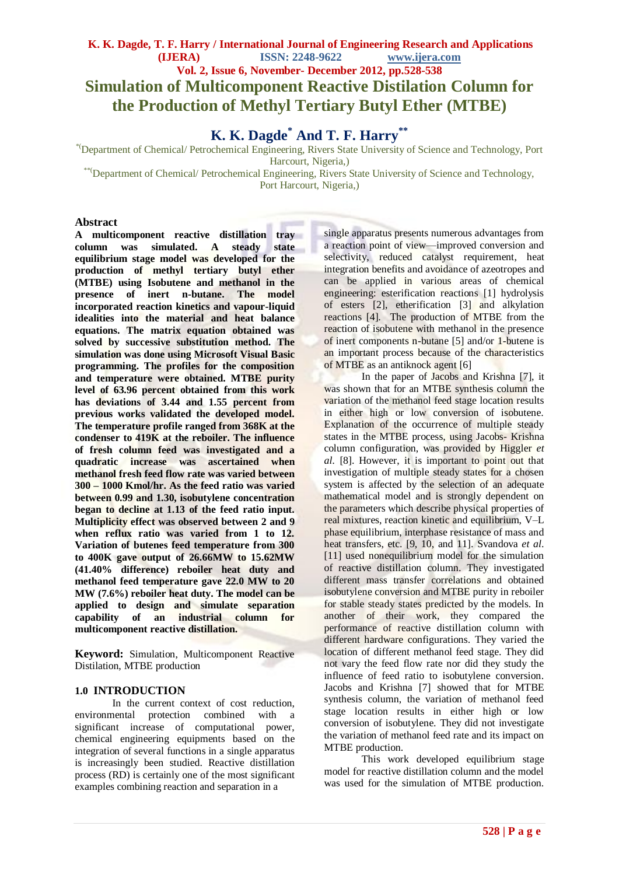# **K. K. Dagde, T. F. Harry / International Journal of Engineering Research and Applications (IJERA) ISSN: 2248-9622 www.ijera.com Vol. 2, Issue 6, November- December 2012, pp.528-538 Simulation of Multicomponent Reactive Distilation Column for the Production of Methyl Tertiary Butyl Ether (MTBE)**

**K. K. Dagde\* And T. F. Harry\*\***

*\**(Department of Chemical/ Petrochemical Engineering, Rivers State University of Science and Technology, Port Harcourt, Nigeria,)

\*\*(Department of Chemical/ Petrochemical Engineering, Rivers State University of Science and Technology, Port Harcourt, Nigeria,)

# **Abstract**

**A multicomponent reactive distillation tray column was simulated. A steady state equilibrium stage model was developed for the production of methyl tertiary butyl ether (MTBE) using Isobutene and methanol in the presence of inert n-butane. The model incorporated reaction kinetics and vapour-liquid idealities into the material and heat balance equations. The matrix equation obtained was solved by successive substitution method. The simulation was done using Microsoft Visual Basic programming. The profiles for the composition and temperature were obtained. MTBE purity level of 63.96 percent obtained from this work has deviations of 3.44 and 1.55 percent from previous works validated the developed model. The temperature profile ranged from 368K at the condenser to 419K at the reboiler. The influence of fresh column feed was investigated and a quadratic increase was ascertained when methanol fresh feed flow rate was varied between 300 – 1000 Kmol/hr. As the feed ratio was varied between 0.99 and 1.30, isobutylene concentration began to decline at 1.13 of the feed ratio input. Multiplicity effect was observed between 2 and 9 when reflux ratio was varied from 1 to 12. Variation of butenes feed temperature from 300 to 400K gave output of 26.66MW to 15.62MW (41.40% difference) reboiler heat duty and methanol feed temperature gave 22.0 MW to 20 MW (7.6%) reboiler heat duty. The model can be applied to design and simulate separation capability of an industrial column for multicomponent reactive distillation.**

**Keyword:** Simulation, Multicomponent Reactive Distilation, MTBE production

# **1.0 INTRODUCTION**

In the current context of cost reduction, environmental protection combined with a significant increase of computational power, chemical engineering equipments based on the integration of several functions in a single apparatus is increasingly been studied. Reactive distillation process (RD) is certainly one of the most significant examples combining reaction and separation in a

single apparatus presents numerous advantages from a reaction point of view—improved conversion and selectivity, reduced catalyst requirement, heat integration benefits and avoidance of azeotropes and can be applied in various areas of chemical engineering: esterification reactions [1] hydrolysis of esters [2], etherification [3] and alkylation reactions [4]. The production of MTBE from the reaction of isobutene with methanol in the presence of inert components n-butane [5] and/or 1-butene is an important process because of the characteristics of MTBE as an antiknock agent [6]

In the paper of Jacobs and Krishna [7], it was shown that for an MTBE synthesis column the variation of the methanol feed stage location results in either high or low conversion of isobutene. Explanation of the occurrence of multiple steady states in the MTBE process, using Jacobs- Krishna column configuration, was provided by Higgler *et al.* [8]. However, it is important to point out that investigation of multiple steady states for a chosen system is affected by the selection of an adequate mathematical model and is strongly dependent on the parameters which describe physical properties of real mixtures, reaction kinetic and equilibrium, V–L phase equilibrium, interphase resistance of mass and heat transfers, etc. [9, 10, and 11]. Svandova *et al*. [11] used nonequilibrium model for the simulation of reactive distillation column. They investigated different mass transfer correlations and obtained isobutylene conversion and MTBE purity in reboiler for stable steady states predicted by the models. In another of their work, they compared the performance of reactive distillation column with different hardware configurations. They varied the location of different methanol feed stage. They did not vary the feed flow rate nor did they study the influence of feed ratio to isobutylene conversion. Jacobs and Krishna [7] showed that for MTBE synthesis column, the variation of methanol feed stage location results in either high or low conversion of isobutylene. They did not investigate the variation of methanol feed rate and its impact on MTBE production.

This work developed equilibrium stage model for reactive distillation column and the model was used for the simulation of MTBE production.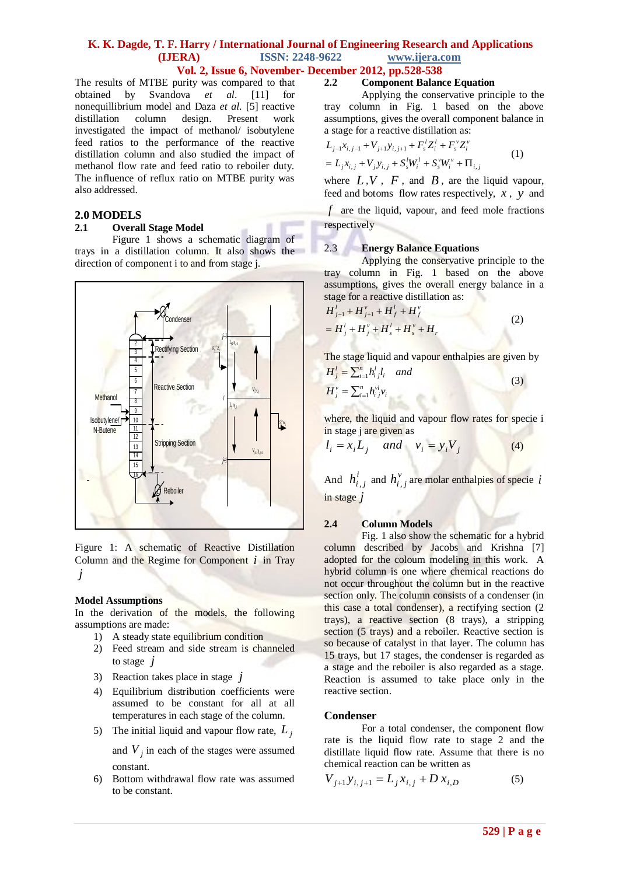# **Vol. 2, Issue 6, November- December 2012, pp.528-538**

The results of MTBE purity was compared to that obtained by Svandova *et al*. [11] for nonequillibrium model and Daza *et al*. [5] reactive distillation column design. Present work investigated the impact of methanol/ isobutylene feed ratios to the performance of the reactive distillation column and also studied the impact of methanol flow rate and feed ratio to reboiler duty. The influence of reflux ratio on MTBE purity was also addressed.

# **2.0 MODELS**

# **2.1 Overall Stage Model**

Figure 1 shows a schematic diagram of trays in a distillation column. It also shows the direction of component i to and from stage j.



Figure 1: A schematic of Reactive Distillation Column and the Regime for Component *i* in Tray *j*

# **Model Assumptions**

In the derivation of the models, the following assumptions are made:

- 1) A steady state equilibrium condition
- 2) Feed stream and side stream is channeled to stage *j*
- 3) Reaction takes place in stage *j*
- 4) Equilibrium distribution coefficients were assumed to be constant for all at all temperatures in each stage of the column.
- 5) The initial liquid and vapour flow rate,  $L_j$

and  $V_j$  in each of the stages were assumed constant.

6) Bottom withdrawal flow rate was assumed to be constant.

# **2.2 Component Balance Equation**

Applying the conservative principle to the tray column in Fig. 1 based on the above assumptions, gives the overall component balance in a stage for a reactive distillation as:

$$
L_{j-1}x_{i,j-1} + V_{j+1}y_{i,j+1} + F_s^l Z_i^l + F_s^v Z_i^v
$$
  
=  $L_j x_{i,j} + V_j y_{i,j} + S_s^l W_i^l + S_s^v W_i^v + \Pi_{i,j}$  (1)

where  $L, V, F$ , and  $B$ , are the liquid vapour, feed and botoms flow rates respectively, *x* , *y* and *f* are the liquid, vapour, and feed mole fractions respectively

# 2.3 **Energy Balance Equations**

Applying the conservative principle to the tray column in Fig. 1 based on the above assumptions, gives the overall energy balance in a stage for a reactive distillation as:

$$
H_{j-1}^{l} + H_{j+1}^{v} + H_{f}^{l} + H_{f}^{v}
$$
  
=  $H_{j}^{l} + H_{j}^{v} + H_{s}^{l} + H_{s}^{v} + H_{r}^{l}$  (2)

The stage liquid and vapour enthalpies are given by

$$
H'_{j} = \sum_{i=1}^{n} h'_{i} J_{i} \quad and
$$
  
\n
$$
H^{y}_{j} = \sum_{i=1}^{n} h^{y'}_{i} y_{i}
$$
\n(3)

 $\mathbb{R}^N$  where, the liquid and vapour flow rates for specie i in stage j are given as

$$
l_i = x_i L_j \quad and \quad v_i = y_i V_j \tag{4}
$$

And  $h_{i,j}^i$  and  $h_{i,j}^v$  are molar enthalpies of specie *i* in stage *j*

# **2.4 Column Models**

Fig. 1 also show the schematic for a hybrid column described by Jacobs and Krishna [7] adopted for the coloum modeling in this work. A hybrid column is one where chemical reactions do not occur throughout the column but in the reactive section only. The column consists of a condenser (in this case a total condenser), a rectifying section (2 trays), a reactive section (8 trays), a stripping section (5 trays) and a reboiler. Reactive section is so because of catalyst in that layer. The column has 15 trays, but 17 stages, the condenser is regarded as a stage and the reboiler is also regarded as a stage. Reaction is assumed to take place only in the reactive section.

# **Condenser**

For a total condenser, the component flow rate is the liquid flow rate to stage 2 and the distillate liquid flow rate. Assume that there is no chemical reaction can be written as

$$
V_{j+1}y_{i,j+1} = L_j x_{i,j} + D x_{i,D}
$$
 (5)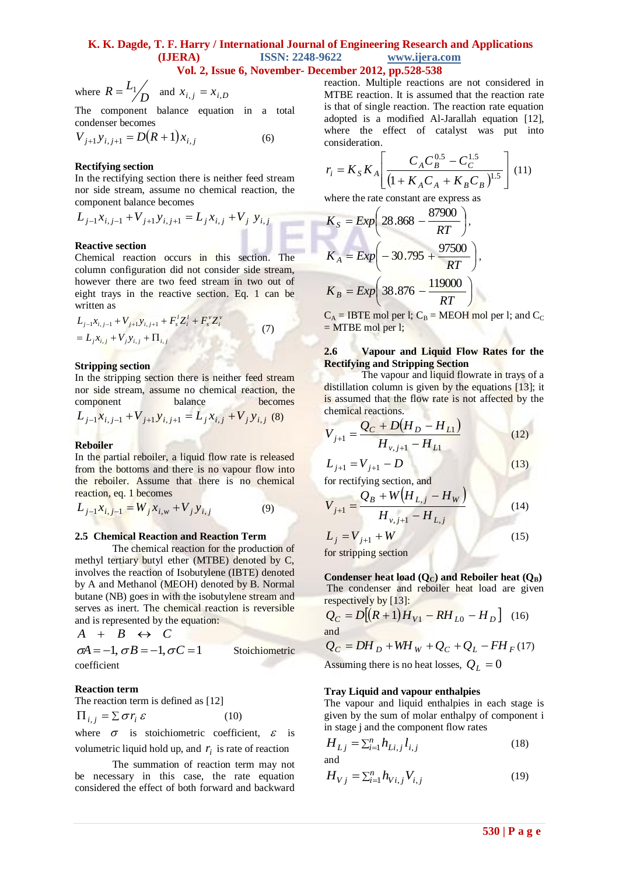$R = \frac{L_1}{4}$ 

where  $R = \frac{L_1}{D}$ and  $x_{i,j} = x_{i,D}$ The component balance equation in a total

condenser becomes

$$
V_{j+1}y_{i,j+1} = D(R+1)x_{i,j}
$$
 (6)

# **Rectifying section**

In the rectifying section there is neither feed stream nor side stream, assume no chemical reaction, the component balance becomes

$$
L_{j-1}x_{i,j-1} + V_{j+1}y_{i,j+1} = L_jx_{i,j} + V_j y_{i,j}
$$

# **Reactive section**

Chemical reaction occurs in this section. The column configuration did not consider side stream, however there are two feed stream in two out of eight trays in the reactive section. Eq. 1 can be written as

$$
L_{j-1}x_{i,j-1} + V_{j+1}y_{i,j+1} + F_s^l Z_i^l + F_s^v Z_i^v
$$
  
=  $L_j x_{i,j} + V_j y_{i,j} + \Pi_{i,j}$  (7)

#### **Stripping section**

In the stripping section there is neither feed stream nor side stream, assume no chemical reaction, the component balance becomes

$$
L_{j-1}x_{i,j-1} + V_{j+1}y_{i,j+1} = L_j x_{i,j} + V_j y_{i,j}
$$
 (8)

# **Reboiler**

In the partial reboiler, a liquid flow rate is released from the bottoms and there is no vapour flow into the reboiler. Assume that there is no chemical reaction, eq. 1 becomes

$$
L_{j-1}x_{i,j-1} = W_j x_{i,w} + V_j y_{i,j}
$$
 (9)

#### **2.5 Chemical Reaction and Reaction Term**

The chemical reaction for the production of methyl tertiary butyl ether (MTBE) denoted by C, involves the reaction of Isobutylene (IBTE) denoted by A and Methanol (MEOH) denoted by B. Normal butane (NB) goes in with the isobutylene stream and serves as inert. The chemical reaction is reversible and is represented by the equation:

$$
A + B \leftrightarrow C
$$
  
\n
$$
\sigma A = -1, \sigma B = -1, \sigma C = 1
$$
Stoichiometric  
\ncoefficient

#### **Reaction term**

The reaction term is defined as [12]

 $\Pi_{i,j} = \sum \sigma r_i \varepsilon$ (10)

where  $\sigma$  is stoichiometric coefficient,  $\varepsilon$  is volumetric liquid hold up, and  $r_i$  is rate of reaction

The summation of reaction term may not be necessary in this case, the rate equation considered the effect of both forward and backward

reaction. Multiple reactions are not considered in MTBE reaction. It is assumed that the reaction rate is that of single reaction. The reaction rate equation adopted is a modified Al-Jarallah equation [12], where the effect of catalyst was put into consideration.

$$
r_i = K_S K_A \left[ \frac{C_A C_B^{0.5} - C_C^{1.5}}{\left(1 + K_A C_A + K_B C_B\right)^{1.5}} \right] (11)
$$

where the rate constant are express as

$$
K_{S} = Exp\left(28.868 - \frac{87900}{RT}\right),
$$
  
\n
$$
K_{A} = Exp\left(-30.795 + \frac{97500}{RT}\right),
$$
  
\n
$$
K_{B} = Exp\left(38.876 - \frac{119000}{RT}\right)
$$

 $C_A$  = IBTE mol per l;  $C_B$  = MEOH mol per l; and  $C_C$  $=$  MTBE mol per l;

## **2.6 Vapour and Liquid Flow Rates for the Rectifying and Stripping Section**

The vapour and liquid flowrate in trays of a distillation column is given by the equations [13]; it is assumed that the flow rate is not affected by the chemical reactions.

$$
V_{j+1} = \frac{Q_C + D(H_D - H_{L1})}{H_{v,j+1} - H_{L1}}
$$
(12)

$$
L_{j+1} = V_{j+1} - D \tag{1}
$$

for rectifying section, and

$$
V_{j+1} = \frac{Q_B + W(H_{L,j} - H_W)}{H_{v,j+1} - H_{L,j}}
$$
(14)  

$$
L_i = V_{i+1} + W
$$
(15)

$$
L_j = V_{j+1} + W
$$

for stripping section

Condenser heat load  $(Q_C)$  and Reboiler heat  $(Q_B)$ The condenser and reboiler heat load are given respectively by [13]:

$$
Q_C = D[(R+1)H_{V1} - RH_{L0} - H_D]
$$
 (16)  
and  

$$
Q_C = DH_D + WH_W + Q_C + Q_L - FH_F
$$
 (17)

Assuming there is no heat losses,  $Q_L = 0$ 

#### **Tray Liquid and vapour enthalpies**

The vapour and liquid enthalpies in each stage is given by the sum of molar enthalpy of component i in stage j and the component flow rates

$$
H_{Lj} = \sum_{i=1}^{n} h_{Li,j} l_{i,j}
$$
 (18)

$$
H_{Vj} = \sum_{i=1}^{n} h_{Vi,j} V_{i,j}
$$
 (19)

 $(3)$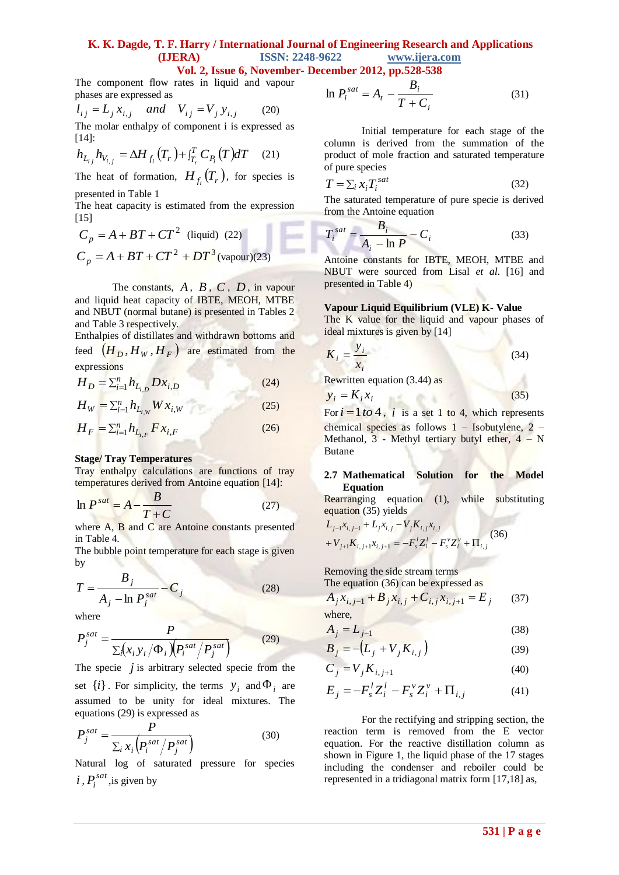# **Vol. 2, Issue 6, November- December 2012, pp.528-538**

The component flow rates in liquid and vapour phases are expressed as

$$
l_{ij} = L_j x_{i,j} \text{ and } V_{ij} = V_j y_{i,j} \tag{20}
$$

The molar enthalpy of component i is expressed as [14]:

$$
h_{L_{ij}} h_{V_{i,j}} = \Delta H_{f_i}(T_r) + i_{T_r}^T C_{P_i}(T) dT \quad (21)
$$

The heat of formation,  $H_{f_i}(T_r)$ , for species is presented in Table 1

The heat capacity is estimated from the expression [15]

$$
C_p = A + BT + CT2 (liquid) (22)
$$
  
\n
$$
C_p = A + BT + CT2 + DT3 (vapour)(23)
$$

The constants,  $A$ ,  $B$ ,  $C$ ,  $D$ , in vapour and liquid heat capacity of IBTE, MEOH, MTBE and NBUT (normal butane) is presented in Tables 2 and Table 3 respectively.

Enthalpies of distillates and withdrawn bottoms and feed  $(H_D, H_W, H_F)$  are estimated from the expressions

$$
H_D = \sum_{i=1}^{n} h_{L_{i,D}} Dx_{i,D}
$$
 (24)

$$
H_W = \sum_{i=1}^{n} h_{L_{i,W}} W x_{i,W}
$$
 (25)

$$
H_F = \sum_{i=1}^{n} h_{L_{i,F}} F x_{i,F}
$$
 (26)

#### **Stage/ Tray Temperatures**

Tray enthalpy calculations are functions of tray temperatures derived from Antoine equation [14]:

$$
\ln P^{sat} = A - \frac{B}{T+C}
$$
 (27)

where A, B and C are Antoine constants presented in Table 4.

The bubble point temperature for each stage is given by

$$
T = \frac{B_j}{A_j - \ln P_j^{sat}} - C_j
$$
 (28)

where

$$
P_j^{sat} = \frac{P}{\sum_i (x_i y_i / \Phi_i) (P_i^{sat} / P_j^{sat})}
$$
(29)

The specie  $j$  is arbitrary selected specie from the set  $\{i\}$ . For simplicity, the terms  $y_i$  and  $\Phi_i$  are assumed to be unity for ideal mixtures. The equations (29) is expressed as

$$
P_j^{sat} = \frac{P}{\sum_i x_i \left( P_i^{sat} / P_j^{sat} \right)} \tag{30}
$$

Natural log of saturated pressure for species  $i$ ,  $P_i^{sat}$ , is given by

$$
\ln P_i^{sat} = A_t - \frac{B_i}{T + C_i} \tag{31}
$$

Initial temperature for each stage of the column is derived from the summation of the product of mole fraction and saturated temperature of pure species

$$
T = \sum_{i} x_i T_i^{sat} \tag{32}
$$

The saturated temperature of pure specie is derived from the Antoine equation

$$
T_i^{sat} = \frac{B_i}{A_i - \ln P} - C_i
$$
 (33)

Antoine constants for IBTE, MEOH, MTBE and NBUT were sourced from Lisal *et al*. [16] and presented in Table 4)

### **Vapour Liquid Equilibrium (VLE) K- Value**

The K value for the liquid and vapour phases of ideal mixtures is given by [14]

$$
K_i = \frac{y_i}{x_i} \tag{34}
$$

Rewritten equation (3.44) as

$$
y_i = K_i x_i \tag{35}
$$

For  $i = 1$  to 4, i is a set 1 to 4, which represents chemical species as follows 1 – Isobutylene, 2 – Methanol,  $3$  - Methyl tertiary butyl ether,  $4 - N$ Butane

#### **2.7 Mathematical Solution for the Model Equation**

Rearranging equation (1), while substituting equation (35) yields

$$
L_{j-1}x_{i,j-1} + L_j x_{i,j} - V_j K_{i,j} x_{i,j}
$$
  
+  $V_{j+1}K_{i,j+1}x_{i,j+1} = -F_s^t Z_i^t - F_s^v Z_i^v + \Pi_{i,j}$  (36)

Removing the side stream terms The equation (36) can be expressed as

$$
A_j x_{i,j-1} + B_j x_{i,j} + C_{i,j} x_{i,j+1} = E_j
$$
 (37)  
where,

$$
A_j = L_{j-1} \tag{38}
$$

$$
B_j = -\left(L_j + V_j K_{i,j}\right) \tag{39}
$$

$$
C_j = V_j K_{i,j+1}
$$
\n<sup>(40)</sup>

$$
E_j = -F_s^l Z_i^l - F_s^v Z_i^v + \Pi_{i,j}
$$
 (41)

For the rectifying and stripping section, the reaction term is removed from the E vector equation. For the reactive distillation column as shown in Figure 1, the liquid phase of the 17 stages including the condenser and reboiler could be represented in a tridiagonal matrix form [17,18] as,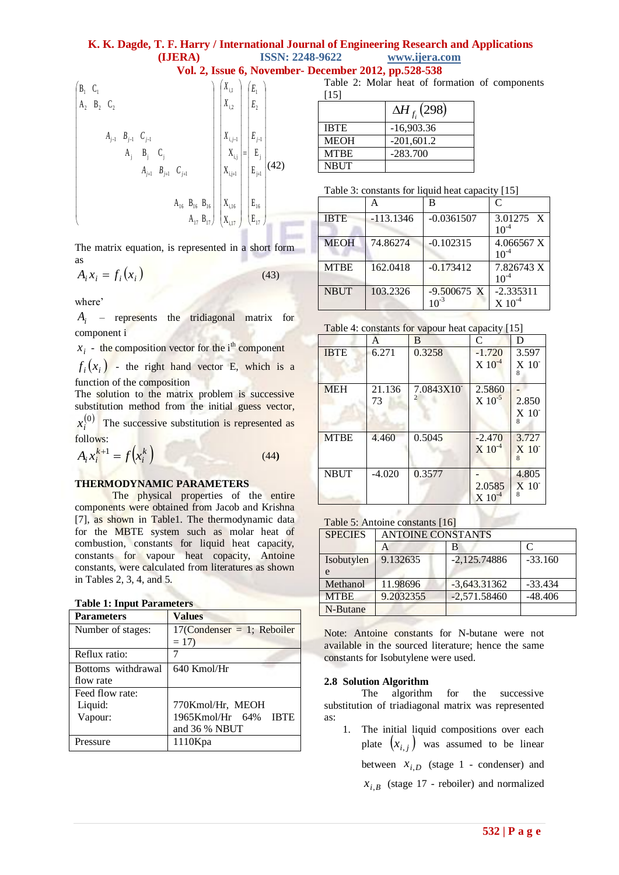[15]

NBUT

**Vol. 2, Issue 6, November- December 2012, pp.528-538** Table 2: Molar heat of formation of components



 $\Delta H_{f_i}(298)$ IBTE -16,903.36 MEOH  $-201,601.2$ 

MTBE -283.700

| Table 3: constants for liquid heat capacity [15] |  |  |  |  |
|--------------------------------------------------|--|--|--|--|
|                                                  |  |  |  |  |

The matrix equation, is represented in a short form as

$$
A_i x_i = f_i(x_i) \tag{43}
$$

where'

*Ai* – represents the tridiagonal matrix for component i

 $x_i$  - the composition vector for the i<sup>th</sup> component

 $f_i(x_i)$  - the right hand vector E, which is a function of the composition

The solution to the matrix problem is successive substitution method from the initial guess vector,

 $(0)$  $x_i^{(0)}$  The successive substitution is represented as follows:

$$
A_i x_i^{k+1} = f(x_i^k)
$$
 (44)

# **THERMODYNAMIC PARAMETERS**

The physical properties of the entire components were obtained from Jacob and Krishna [7], as shown in Table1. The thermodynamic data for the MBTE system such as molar heat of combustion, constants for liquid heat capacity, constants for vapour heat copacity, Antoine constants, were calculated from literatures as shown in Tables 2, 3, 4, and 5.

# **Table 1: Input Parameters**

| <b>Parameters</b>  | <b>Values</b>                 |  |  |
|--------------------|-------------------------------|--|--|
| Number of stages:  | $17$ (Condenser = 1; Reboiler |  |  |
|                    | $= 17$                        |  |  |
| Reflux ratio:      |                               |  |  |
| Bottoms withdrawal | $640$ Kmol/Hr                 |  |  |
| flow rate          |                               |  |  |
| Feed flow rate:    |                               |  |  |
| Liquid:            | 770Kmol/Hr, MEOH              |  |  |
| Vapour:            | 1965Kmol/Hr 64% IBTE          |  |  |
|                    | and 36 % NBUT                 |  |  |
| Pressure           | 1110Kpa                       |  |  |

|             |             | В             | $\mathcal{C}_{\mathcal{C}}$ |
|-------------|-------------|---------------|-----------------------------|
| <b>IBTE</b> | $-113.1346$ | $-0.0361507$  | 3.01275 X<br>$10^{-4}$      |
| <b>MEOH</b> | 74.86274    | $-0.102315$   | 4.066567 X<br>$10^{-4}$     |
| <b>MTBE</b> | 162.0418    | $-0.173412$   | 7.826743 X<br>$10^{-4}$     |
| <b>NBUT</b> | 103.2326    | $-9.500675$ X | $-2.335311$<br>$X~10^{-4}$  |

#### Table 4: constants for vapour heat capacity [15]

| $1 \text{ and } 7.$ constants for vapour fieat capacity $1 \cup 7$ |              |           |                                  |                                                      |
|--------------------------------------------------------------------|--------------|-----------|----------------------------------|------------------------------------------------------|
|                                                                    | A            | B         | C                                | D                                                    |
| <b>IBTE</b>                                                        | 6.271        | 0.3258    | $-1.720$<br>$X$ $10^{-4}$        | 3.597<br>$X$ 10 <sup><math>-</math></sup>            |
| <b>MEH</b>                                                         | 21.136<br>73 | 7.0843X10 | 2.5860<br>$X$ 10 <sup>-5</sup>   | 2.850<br>$X$ 10 <sup><math>\overline{0}</math></sup> |
| <b>MTBE</b>                                                        | 4.460        | 0.5045    | $-2.470$<br>$X$ 10 <sup>-4</sup> | 3.727<br>X <sub>10</sub>                             |
| <b>NBUT</b>                                                        | $-4.020$     | 0.3577    | 2.0585<br>$X 10^{-4}$            | 4.805<br>$X$ 10                                      |

# Table 5: Antoine constants [16]

| <b>SPECIES</b> | <b>ANTOINE CONSTANTS</b> |                |                   |
|----------------|--------------------------|----------------|-------------------|
|                |                          | в              | $\mathsf{\Gamma}$ |
| Isobutylen     | 9.132635                 | $-2,125.74886$ | $-33.160$         |
| e              |                          |                |                   |
| Methanol       | 11.98696                 | $-3,643.31362$ | $-33.434$         |
| <b>MTBE</b>    | 9.2032355                | $-2,571.58460$ | $-48.406$         |
| N-Butane       |                          |                |                   |

Note: Antoine constants for N-butane were not available in the sourced literature; hence the same constants for Isobutylene were used.

# **2.8 Solution Algorithm**

The algorithm for the successive substitution of triadiagonal matrix was represented as:

1. The initial liquid compositions over each plate  $(x_{i,j})$  was assumed to be linear between  $x_{i,D}$  (stage 1 - condenser) and  $x_{i,B}$  (stage 17 - reboiler) and normalized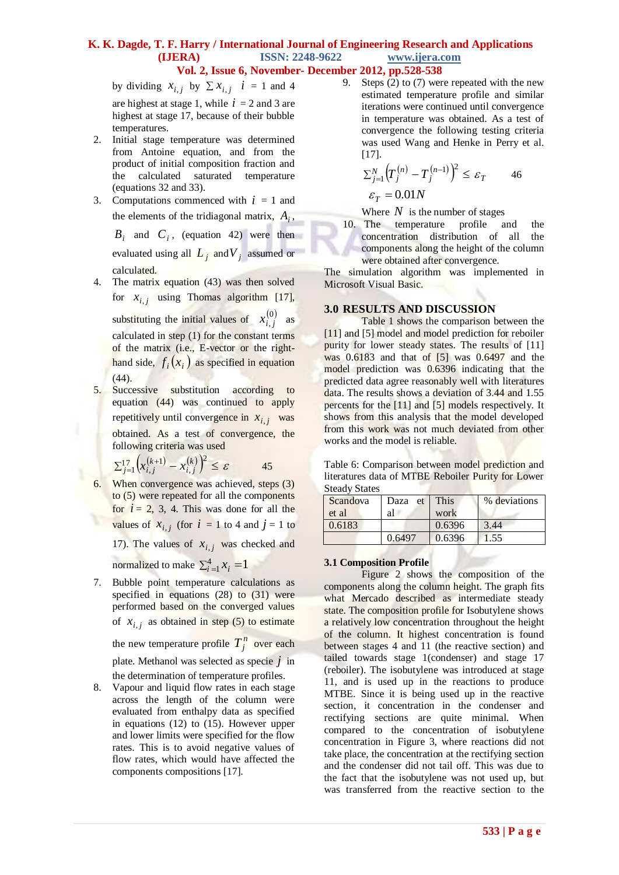by dividing  $x_{i,j}$  by  $\sum x_{i,j}$   $i = 1$  and 4 are highest at stage 1, while  $i = 2$  and 3 are highest at stage 17, because of their bubble temperatures.

- 2. Initial stage temperature was determined from Antoine equation, and from the product of initial composition fraction and the calculated saturated temperature (equations 32 and 33).
- 3. Computations commenced with  $i = 1$  and the elements of the tridiagonal matrix,  $A_i$ ,

 $B_i$  and  $C_i$ , (equation 42) were then evaluated using all  $L_j$  and  $V_j$  assumed or calculated.

- 4. The matrix equation (43) was then solved for  $x_{i,j}$  using Thomas algorithm [17], substituting the initial values of  $x_i^{(0)}$  $x_{i,j}^{(0)}$  as calculated in step (1) for the constant terms of the matrix (i.e., E-vector or the righthand side,  $f_i(x_i)$  as specified in equation (44).
- 5. Successive substitution according to equation (44) was continued to apply repetitively until convergence in  $x_{i,j}$  was obtained. As a test of convergence, the following criteria was used

$$
\sum_{j=1}^{17} \left( x_{i,j}^{(k+1)} - x_{i,j}^{(k)} \right)^2 \le \varepsilon \qquad \qquad 45
$$

6. When convergence was achieved, steps (3) to (5) were repeated for all the components for  $i = 2, 3, 4$ . This was done for all the values of  $x_{i,j}$  (for  $i = 1$  to 4 and  $j = 1$  to 17). The values of  $x_{i,j}$  was checked and

normalized to make  $\sum_{i=1}^{4} x_i = 1$ 

7. Bubble point temperature calculations as specified in equations (28) to (31) were performed based on the converged values of  $x_{i,j}$  as obtained in step (5) to estimate

the new temperature profile  $T_j^n$  over each plate. Methanol was selected as specie *j* in

the determination of temperature profiles. 8. Vapour and liquid flow rates in each stage across the length of the column were evaluated from enthalpy data as specified in equations (12) to (15). However upper and lower limits were specified for the flow rates. This is to avoid negative values of flow rates, which would have affected the components compositions [17].

9. Steps (2) to (7) were repeated with the new estimated temperature profile and similar iterations were continued until convergence in temperature was obtained. As a test of convergence the following testing criteria was used Wang and Henke in Perry et al.  $[17]$ .

$$
\sum_{j=1}^{N} \left( T_j^{(n)} - T_j^{(n-1)} \right)^2 \le \varepsilon_T \qquad \text{46}
$$

 $\varepsilon_T = 0.01N$ 

Where  $N$  is the number of stages

10. The temperature profile and the concentration distribution of all the components along the height of the column were obtained after convergence.

The simulation algorithm was implemented in Microsoft Visual Basic.

# **3.0 RESULTS AND DISCUSSION**

Table 1 shows the comparison between the [11] and [5] model and model prediction for reboiler purity for lower steady states. The results of [11] was 0.6183 and that of [5] was 0.6497 and the model prediction was 0.6396 indicating that the predicted data agree reasonably well with literatures data. The results shows a deviation of 3.44 and 1.55 percents for the [11] and [5] models respectively. It shows from this analysis that the model developed from this work was not much deviated from other works and the model is reliable.

| Table 6: Comparison between model prediction and   |
|----------------------------------------------------|
| literatures data of MTBE Reboiler Purity for Lower |
| <b>Steady States</b>                               |

| Scandova | Daza et This |        | % deviations |
|----------|--------------|--------|--------------|
| et al    | al           | work   |              |
| 0.6183   |              | 0.6396 | 3.44         |
|          | 0.6497       | 0.6396 | 1.55         |

# **3.1 Composition Profile**

Figure 2 shows the composition of the components along the column height. The graph fits what Mercado described as intermediate steady state. The composition profile for Isobutylene shows a relatively low concentration throughout the height of the column. It highest concentration is found between stages 4 and 11 (the reactive section) and tailed towards stage 1(condenser) and stage 17 (reboiler). The isobutylene was introduced at stage 11, and is used up in the reactions to produce MTBE. Since it is being used up in the reactive section, it concentration in the condenser and rectifying sections are quite minimal. When compared to the concentration of isobutylene concentration in Figure 3, where reactions did not take place, the concentration at the rectifying section and the condenser did not tail off. This was due to the fact that the isobutylene was not used up, but was transferred from the reactive section to the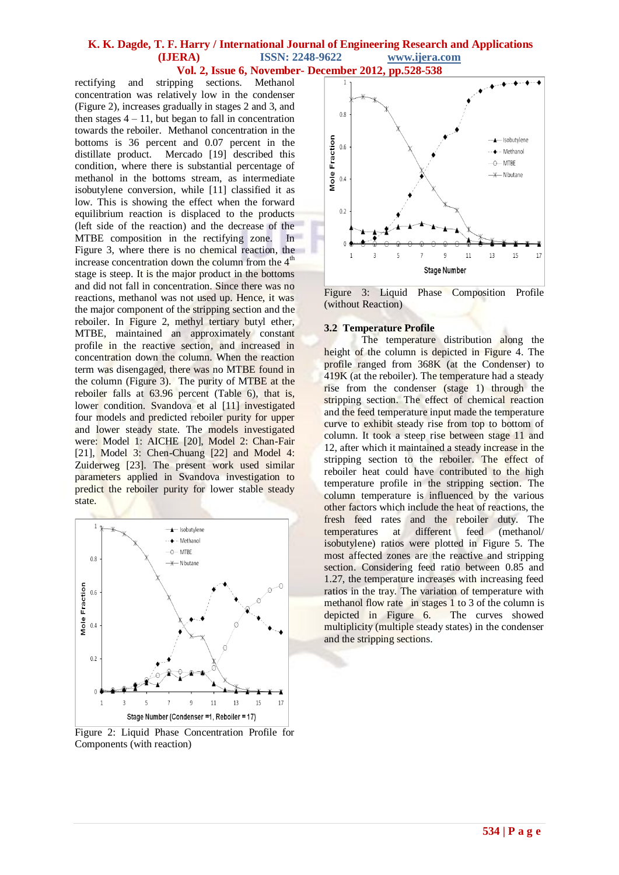rectifying and stripping sections. Methanol concentration was relatively low in the condenser (Figure 2), increases gradually in stages 2 and 3, and then stages  $4 - 11$ , but began to fall in concentration towards the reboiler. Methanol concentration in the bottoms is 36 percent and 0.07 percent in the distillate product. Mercado [19] described this condition, where there is substantial percentage of methanol in the bottoms stream, as intermediate isobutylene conversion, while [11] classified it as low. This is showing the effect when the forward equilibrium reaction is displaced to the products (left side of the reaction) and the decrease of the MTBE composition in the rectifying zone. In Figure 3, where there is no chemical reaction, the increase concentration down the column from the  $4<sup>th</sup>$ stage is steep. It is the major product in the bottoms and did not fall in concentration. Since there was no reactions, methanol was not used up. Hence, it was the major component of the stripping section and the reboiler. In Figure 2, methyl tertiary butyl ether, MTBE, maintained an approximately constant profile in the reactive section, and increased in concentration down the column. When the reaction term was disengaged, there was no MTBE found in the column (Figure 3). The purity of MTBE at the reboiler falls at 63.96 percent (Table 6), that is, lower condition. Svandova et al [11] investigated four models and predicted reboiler purity for upper and lower steady state. The models investigated were: Model 1: AICHE [20], Model 2: Chan-Fair [21], Model 3: Chen-Chuang [22] and Model 4: Zuiderweg [23]. The present work used similar parameters applied in Svandova investigation to predict the reboiler purity for lower stable steady state.



Figure 2: Liquid Phase Concentration Profile for Components (with reaction)



Figure 3: Liquid Phase Composition Profile (without Reaction)

#### **3.2 Temperature Profile**

The temperature distribution along the height of the column is depicted in Figure 4. The profile ranged from 368K (at the Condenser) to 419K (at the reboiler). The temperature had a steady rise from the condenser (stage 1) through the stripping section. The effect of chemical reaction and the feed temperature input made the temperature curve to exhibit steady rise from top to bottom of column. It took a steep rise between stage 11 and 12, after which it maintained a steady increase in the stripping section to the reboiler. The effect of reboiler heat could have contributed to the high temperature profile in the stripping section. The column temperature is influenced by the various other factors which include the heat of reactions, the fresh feed rates and the reboiler duty. The temperatures at different feed (methanol/ isobutylene) ratios were plotted in Figure 5. The most affected zones are the reactive and stripping section. Considering feed ratio between 0.85 and 1.27, the temperature increases with increasing feed ratios in the tray. The variation of temperature with methanol flow rate in stages 1 to 3 of the column is depicted in Figure 6. The curves showed multiplicity (multiple steady states) in the condenser and the stripping sections.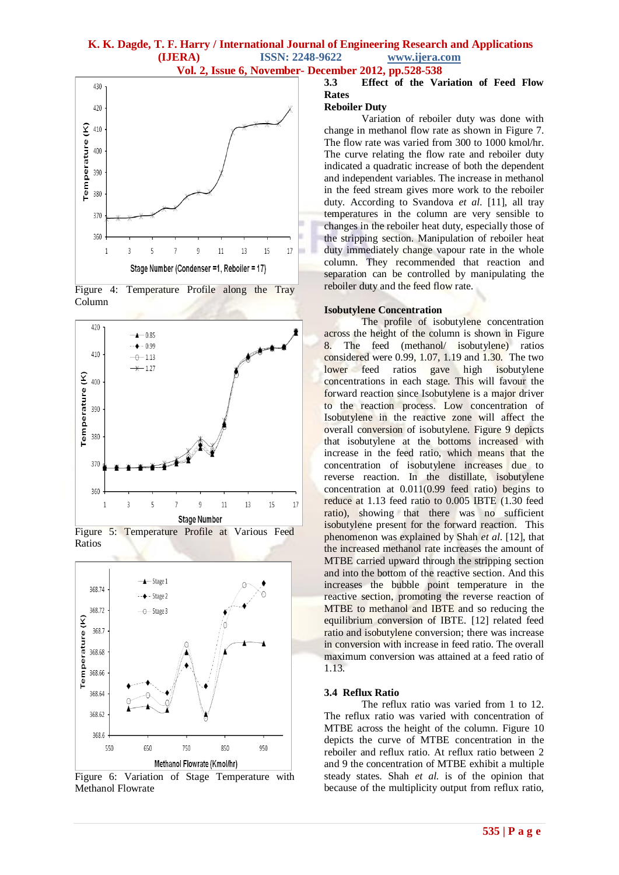



Figure 4: Temperature Profile along the Tray Column





Figure 5: Temperature Profile at Various Feed Ratios

Figure 6: Variation of Stage Temperature with Methanol Flowrate

# **3.3 Effect of the Variation of Feed Flow Rates**

# **Reboiler Duty**

Variation of reboiler duty was done with change in methanol flow rate as shown in Figure 7. The flow rate was varied from 300 to 1000 kmol/hr. The curve relating the flow rate and reboiler duty indicated a quadratic increase of both the dependent and independent variables. The increase in methanol in the feed stream gives more work to the reboiler duty. According to Svandova *et al*. [11], all tray temperatures in the column are very sensible to changes in the reboiler heat duty, especially those of the stripping section. Manipulation of reboiler heat duty immediately change vapour rate in the whole column. They recommended that reaction and separation can be controlled by manipulating the reboiler duty and the feed flow rate.

#### **Isobutylene Concentration**

The profile of isobutylene concentration across the height of the column is shown in Figure 8. The feed (methanol/ isobutylene) ratios considered were 0.99, 1.07, 1.19 and 1.30. The two lower feed ratios gave high isobutylene concentrations in each stage. This will favour the forward reaction since Isobutylene is a major driver to the reaction process. Low concentration of Isobutylene in the reactive zone will affect the overall conversion of isobutylene. Figure 9 depicts that isobutylene at the bottoms increased with increase in the feed ratio, which means that the concentration of isobutylene increases due to reverse reaction. In the distillate, isobutylene concentration at 0.011(0.99 feed ratio) begins to reduce at 1.13 feed ratio to 0.005 IBTE (1.30 feed ratio), showing that there was no sufficient isobutylene present for the forward reaction. This phenomenon was explained by Shah *et al*. [12], that the increased methanol rate increases the amount of MTBE carried upward through the stripping section and into the bottom of the reactive section. And this increases the bubble point temperature in the reactive section, promoting the reverse reaction of MTBE to methanol and IBTE and so reducing the equilibrium conversion of IBTE. [12] related feed ratio and isobutylene conversion; there was increase in conversion with increase in feed ratio. The overall maximum conversion was attained at a feed ratio of 1.13.

# **3.4 Reflux Ratio**

The reflux ratio was varied from 1 to 12. The reflux ratio was varied with concentration of MTBE across the height of the column. Figure 10 depicts the curve of MTBE concentration in the reboiler and reflux ratio. At reflux ratio between 2 and 9 the concentration of MTBE exhibit a multiple steady states. Shah *et al.* is of the opinion that because of the multiplicity output from reflux ratio,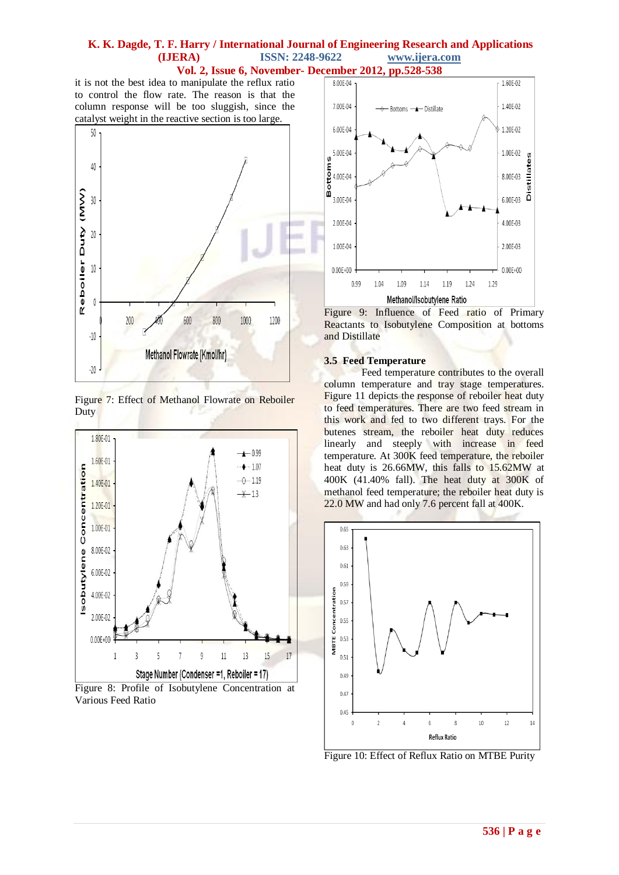**Vol. 2, Issue 6, November- December 2012, pp.528-538**

it is not the best idea to manipulate the reflux ratio to control the flow rate. The reason is that the column response will be too sluggish, since the catalyst weight in the reactive section is too large.



Figure 7: Effect of Methanol Flowrate on Reboiler Duty



Figure 8: Profile of Isobutylene Concentration at Various Feed Ratio



Figure 9: Influence of Feed ratio of Primary Reactants to Isobutylene Composition at bottoms and Distillate

# **3.5 Feed Temperature**

Feed temperature contributes to the overall column temperature and tray stage temperatures. Figure 11 depicts the response of reboiler heat duty to feed temperatures. There are two feed stream in this work and fed to two different trays. For the butenes stream, the reboiler heat duty reduces linearly and steeply with increase in feed temperature. At 300K feed temperature, the reboiler heat duty is 26.66MW, this falls to 15.62MW at 400K (41.40% fall). The heat duty at 300K of methanol feed temperature; the reboiler heat duty is 22.0 MW and had only 7.6 percent fall at 400K.



Figure 10: Effect of Reflux Ratio on MTBE Purity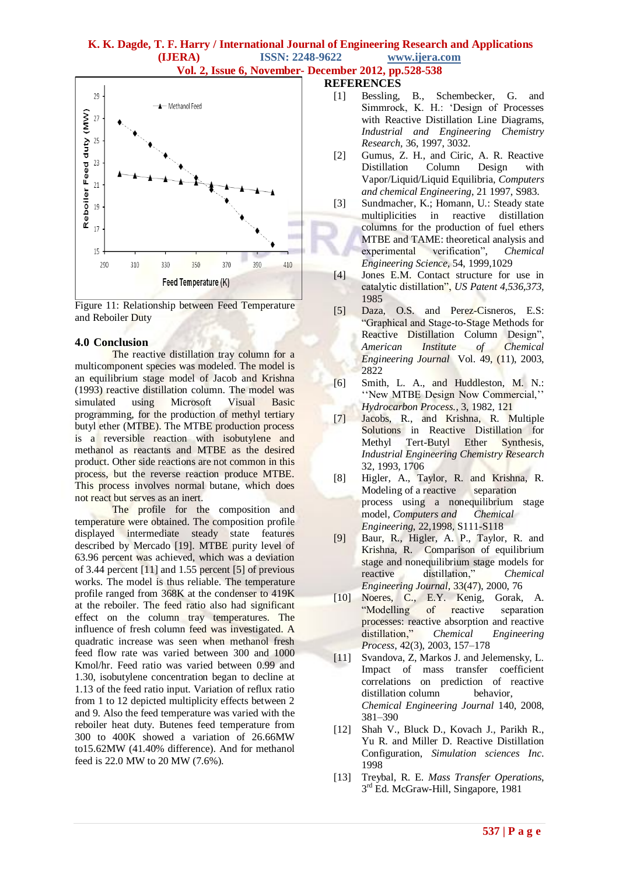



# **4.0 Conclusion**

The reactive distillation tray column for a multicomponent species was modeled. The model is an equilibrium stage model of Jacob and Krishna (1993) reactive distillation column. The model was simulated using Microsoft Visual Basic programming, for the production of methyl tertiary butyl ether (MTBE). The MTBE production process is a reversible reaction with isobutylene and methanol as reactants and MTBE as the desired product. Other side reactions are not common in this process, but the reverse reaction produce MTBE. This process involves normal butane, which does not react but serves as an inert.

The profile for the composition and temperature were obtained. The composition profile displayed intermediate steady state features described by Mercado [19]. MTBE purity level of 63.96 percent was achieved, which was a deviation of 3.44 percent [11] and 1.55 percent [5] of previous works. The model is thus reliable. The temperature profile ranged from 368K at the condenser to 419K at the reboiler. The feed ratio also had significant effect on the column tray temperatures. The influence of fresh column feed was investigated. A quadratic increase was seen when methanol fresh feed flow rate was varied between 300 and 1000 Kmol/hr. Feed ratio was varied between 0.99 and 1.30, isobutylene concentration began to decline at 1.13 of the feed ratio input. Variation of reflux ratio from 1 to 12 depicted multiplicity effects between 2 and 9. Also the feed temperature was varied with the reboiler heat duty. Butenes feed temperature from 300 to 400K showed a variation of 26.66MW to15.62MW (41.40% difference). And for methanol feed is 22.0 MW to 20 MW (7.6%).

# **REFERENCES**

- [1] Bessling, B., Schembecker, G. and Simmrock, K. H.: 'Design of Processes with Reactive Distillation Line Diagrams, *Industrial and Engineering Chemistry Research,* 36, 1997, 3032.
- [2] Gumus, Z. H., and Ciric, A. R. Reactive Distillation Column Design with Vapor/Liquid/Liquid Equilibria, *Computers and chemical Engineering*, 21 1997, S983.
- [3] Sundmacher, K.; Homann, U.: Steady state multiplicities in reactive distillation columns for the production of fuel ethers MTBE and TAME: theoretical analysis and experimental verification", *Chemical Engineering Science,* 54, 1999,1029
- [4] Jones E.M. Contact structure for use in catalytic distillation", *US Patent 4,536,373,* 1985
- [5] Daza, O.S. and Perez-Cisneros, E.S: ―Graphical and Stage-to-Stage Methods for Reactive Distillation Column Design", *American Institute of Chemical Engineering Journal* Vol. 49, (11), 2003, 2822
- [6] Smith, L. A., and Huddleston, M. N.: "New MTBE Design Now Commercial," *Hydrocarbon Process.*, 3, 1982, 121
- [7] Jacobs, R., and Krishna, R. Multiple Solutions in Reactive Distillation for Methyl Tert-Butyl Ether Synthesis, *Industrial Engineering Chemistry Research* 32, 1993, 1706
- [8] Higler, A., Taylor, R. and Krishna, R. Modeling of a reactive separation process using a nonequilibrium stage model, *Computers and Chemical Engineering*, 22,1998, S111-S118
- [9] Baur, R., Higler, A. P., Taylor, R. and Krishna, R. Comparison of equilibrium stage and nonequilibrium stage models for reactive distillation," *Chemical Engineering Journal*, 33(47), 2000, 76
- [10] Noeres, C., E.Y. Kenig, Gorak, A. "Modelling of reactive separation processes: reactive absorption and reactive distillation,‖ *Chemical Engineering Process*, 42(3), 2003, 157–178
- [11] Svandova, Z, Markos J. and Jelemensky, L. Impact of mass transfer coefficient correlations on prediction of reactive distillation column behavior. *Chemical Engineering Journal* 140, 2008, 381–390
- [12] Shah V., Bluck D., Kovach J., Parikh R., Yu R. and Miller D. Reactive Distillation Configuration, *Simulation sciences Inc*. 1998
- [13] Treybal, R. E. *Mass Transfer Operations*, 3<sup>rd</sup> Ed. McGraw-Hill, Singapore, 1981